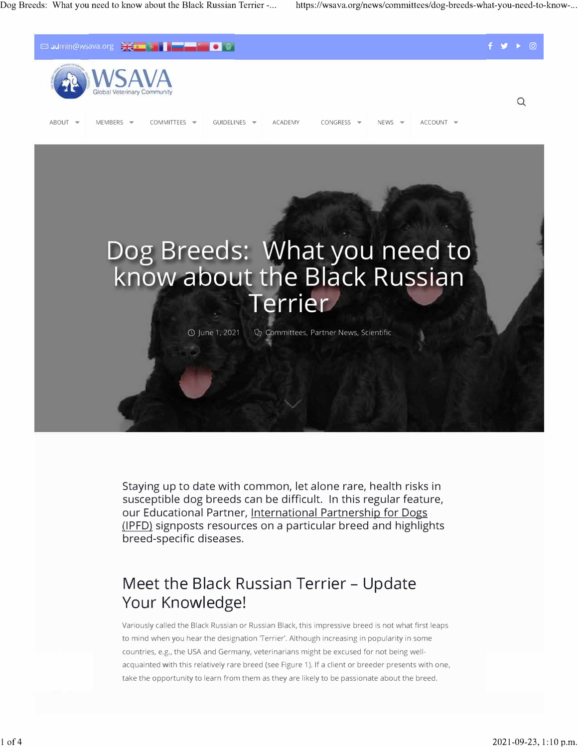

Staying up to date with common, let alone rare, health risks in susceptible dog breeds can be difficult. In this regular feature, our Educational Partner, International Partnership for Dogs [.\(IPFD\).](https://dogwellnet.com/ipfd/) signposts resources on a particular breed and highlights breed-specific diseases.

## **Meet the Black Russian Terrier - Update Your Knowledge!**

Variously called the Black Russian or Russian Black, this impressive breed is not what first leaps to mind when you hear the designation 'Terrier'. Although increasing in popularity in some countries, e.g., the USA and Germany, veterinarians might be excused for not being wellacquainted with this relatively rare breed (see Figure 1). If a client or breeder presents with one, take the opportunity to learn from them as they are likely to be passionate about the breed.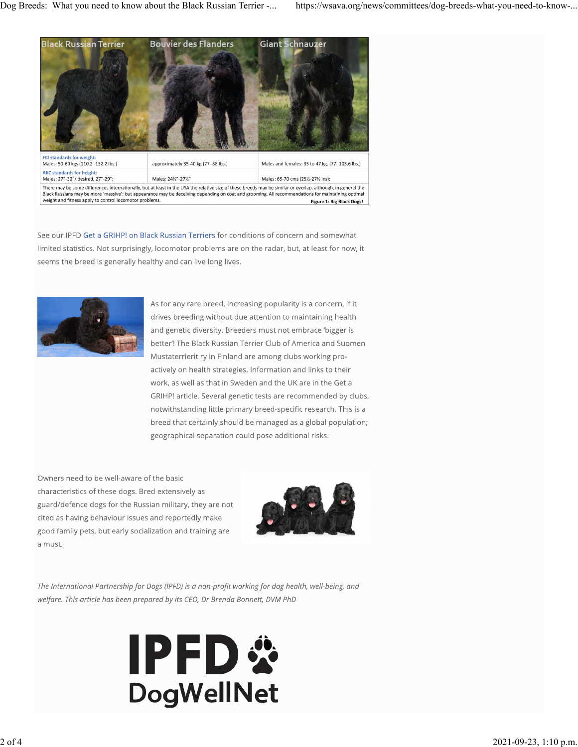

See our IPFD Get a GRIHP! on Black Russian Terriers for conditions of concern and somewhat limited statistics. Not surprisingly, locomotor problems are on the radar, but, at least for now, it seems the breed is generally healthy and can live long lives.



As for any rare breed, increasing popularity is a concern, if it drives breeding without due attention to maintaining health and genetic diversity. Breeders must not embrace 'bigger is better'! The Black Russian Terrier Club of America and Suomen Mustaterrierit ry in Finland are among clubs working proactively on health strategies. Information and links to their work, as well as that in Sweden and the UK are in the Get a GRIHP! article. Several genetic tests are recommended by clubs, notwithstanding little primary breed-specific research. This is a breed that certainly should be managed as a global population; geographical separation could pose additional risks.

Owners need to be well-aware of the basic characteristics of these dogs. Bred extensively as guard/defence dogs for the Russian military, they are not cited as having behaviour issues and reportedly make good family pets, but early socialization and training are a must.



The International Partnership for Dogs (IPFD) is a non-profit working for dog health, well-being, and welfare. This article has been prepared by its CEO, Dr Brenda Bonnett, DVM PhD